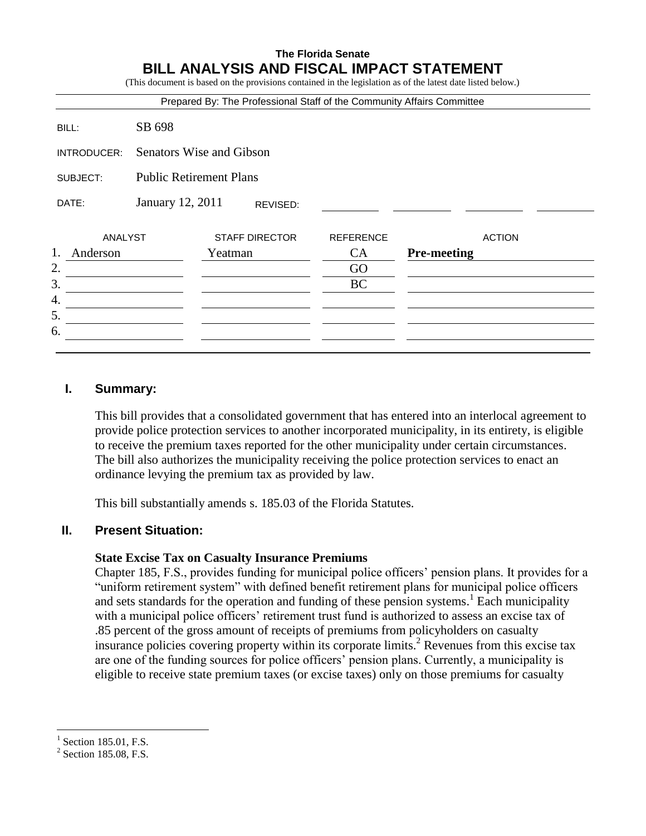# **The Florida Senate BILL ANALYSIS AND FISCAL IMPACT STATEMENT**

|                                  |                                | Prepared By: The Professional Staff of the Community Affairs Committee |                               |                                     |
|----------------------------------|--------------------------------|------------------------------------------------------------------------|-------------------------------|-------------------------------------|
| BILL:                            | SB 698                         |                                                                        |                               |                                     |
| INTRODUCER:                      | Senators Wise and Gibson       |                                                                        |                               |                                     |
| SUBJECT:                         | <b>Public Retirement Plans</b> |                                                                        |                               |                                     |
| DATE:                            | January 12, 2011               | REVISED:                                                               |                               |                                     |
| <b>ANALYST</b><br>1.<br>Anderson |                                | <b>STAFF DIRECTOR</b><br>Yeatman                                       | <b>REFERENCE</b><br><b>CA</b> | <b>ACTION</b><br><b>Pre-meeting</b> |
| 2.<br>3.                         |                                |                                                                        | GO                            |                                     |
| 4.                               |                                |                                                                        | BC                            |                                     |
| 5.                               |                                |                                                                        |                               |                                     |
| 6.                               |                                |                                                                        |                               |                                     |

## **I. Summary:**

This bill provides that a consolidated government that has entered into an interlocal agreement to provide police protection services to another incorporated municipality, in its entirety, is eligible to receive the premium taxes reported for the other municipality under certain circumstances. The bill also authorizes the municipality receiving the police protection services to enact an ordinance levying the premium tax as provided by law.

This bill substantially amends s. 185.03 of the Florida Statutes.

## **II. Present Situation:**

### **State Excise Tax on Casualty Insurance Premiums**

Chapter 185, F.S., provides funding for municipal police officers' pension plans. It provides for a "uniform retirement system" with defined benefit retirement plans for municipal police officers and sets standards for the operation and funding of these pension systems.<sup>1</sup> Each municipality with a municipal police officers' retirement trust fund is authorized to assess an excise tax of .85 percent of the gross amount of receipts of premiums from policyholders on casualty insurance policies covering property within its corporate limits.<sup>2</sup> Revenues from this excise tax are one of the funding sources for police officers' pension plans. Currently, a municipality is eligible to receive state premium taxes (or excise taxes) only on those premiums for casualty

 $\overline{a}$ 

<sup>1</sup> Section 185.01, F.S.

 $2$  Section 185.08, F.S.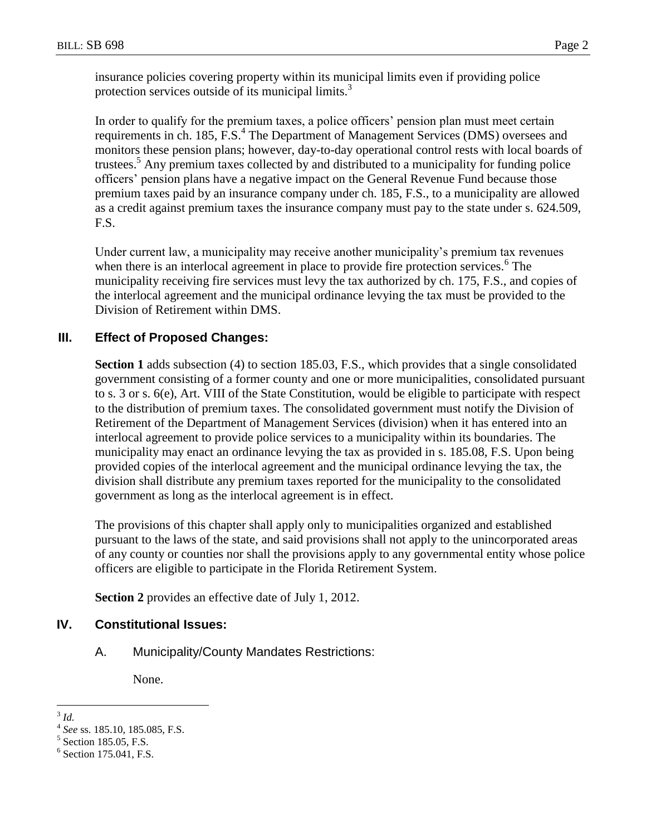insurance policies covering property within its municipal limits even if providing police protection services outside of its municipal limits.<sup>3</sup>

In order to qualify for the premium taxes, a police officers' pension plan must meet certain requirements in ch. 185, F.S.<sup>4</sup> The Department of Management Services (DMS) oversees and monitors these pension plans; however, day-to-day operational control rests with local boards of trustees.<sup>5</sup> Any premium taxes collected by and distributed to a municipality for funding police officers' pension plans have a negative impact on the General Revenue Fund because those premium taxes paid by an insurance company under ch. 185, F.S., to a municipality are allowed as a credit against premium taxes the insurance company must pay to the state under s. 624.509, F.S.

Under current law, a municipality may receive another municipality's premium tax revenues when there is an interlocal agreement in place to provide fire protection services. $<sup>6</sup>$  The</sup> municipality receiving fire services must levy the tax authorized by ch. 175, F.S., and copies of the interlocal agreement and the municipal ordinance levying the tax must be provided to the Division of Retirement within DMS.

# **III. Effect of Proposed Changes:**

**Section 1** adds subsection (4) to section 185.03, F.S., which provides that a single consolidated government consisting of a former county and one or more municipalities, consolidated pursuant to s. 3 or s. 6(e), Art. VIII of the State Constitution, would be eligible to participate with respect to the distribution of premium taxes. The consolidated government must notify the Division of Retirement of the Department of Management Services (division) when it has entered into an interlocal agreement to provide police services to a municipality within its boundaries. The municipality may enact an ordinance levying the tax as provided in s. 185.08, F.S. Upon being provided copies of the interlocal agreement and the municipal ordinance levying the tax, the division shall distribute any premium taxes reported for the municipality to the consolidated government as long as the interlocal agreement is in effect.

The provisions of this chapter shall apply only to municipalities organized and established pursuant to the laws of the state, and said provisions shall not apply to the unincorporated areas of any county or counties nor shall the provisions apply to any governmental entity whose police officers are eligible to participate in the Florida Retirement System.

**Section 2** provides an effective date of July 1, 2012.

### **IV. Constitutional Issues:**

A. Municipality/County Mandates Restrictions:

None.

 $\frac{3}{3}$ *Id.* 

<sup>4</sup> *See* ss. 185.10, 185.085, F.S.

<sup>&</sup>lt;sup>5</sup> Section 185.05, F.S.

<sup>&</sup>lt;sup>6</sup> Section 175.041, F.S.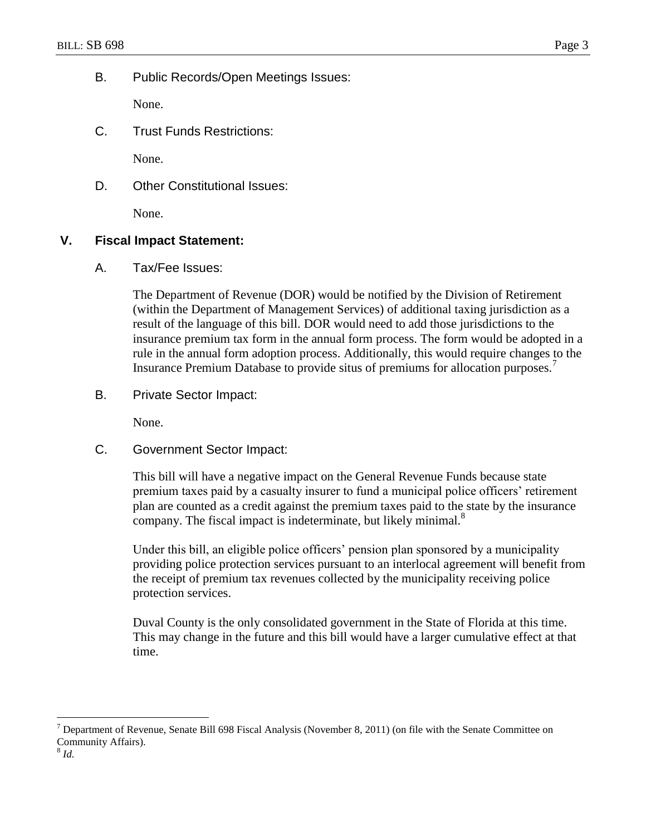B. Public Records/Open Meetings Issues:

None.

C. Trust Funds Restrictions:

None.

D. Other Constitutional Issues:

None.

## **V. Fiscal Impact Statement:**

A. Tax/Fee Issues:

The Department of Revenue (DOR) would be notified by the Division of Retirement (within the Department of Management Services) of additional taxing jurisdiction as a result of the language of this bill. DOR would need to add those jurisdictions to the insurance premium tax form in the annual form process. The form would be adopted in a rule in the annual form adoption process. Additionally, this would require changes to the Insurance Premium Database to provide situs of premiums for allocation purposes.<sup>7</sup>

B. Private Sector Impact:

None.

C. Government Sector Impact:

This bill will have a negative impact on the General Revenue Funds because state premium taxes paid by a casualty insurer to fund a municipal police officers' retirement plan are counted as a credit against the premium taxes paid to the state by the insurance company. The fiscal impact is indeterminate, but likely minimal.<sup>8</sup>

Under this bill, an eligible police officers' pension plan sponsored by a municipality providing police protection services pursuant to an interlocal agreement will benefit from the receipt of premium tax revenues collected by the municipality receiving police protection services.

Duval County is the only consolidated government in the State of Florida at this time. This may change in the future and this bill would have a larger cumulative effect at that time.

 $\overline{a}$ 

 $<sup>7</sup>$  Department of Revenue, Senate Bill 698 Fiscal Analysis (November 8, 2011) (on file with the Senate Committee on</sup> Community Affairs).

<sup>8</sup> *Id.*